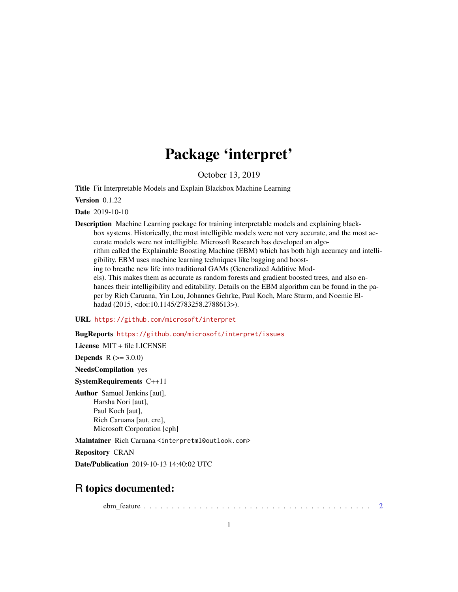## Package 'interpret'

October 13, 2019

Title Fit Interpretable Models and Explain Blackbox Machine Learning

Version 0.1.22

Date 2019-10-10

Description Machine Learning package for training interpretable models and explaining blackbox systems. Historically, the most intelligible models were not very accurate, and the most accurate models were not intelligible. Microsoft Research has developed an algorithm called the Explainable Boosting Machine (EBM) which has both high accuracy and intelligibility. EBM uses machine learning techniques like bagging and boosting to breathe new life into traditional GAMs (Generalized Additive Models). This makes them as accurate as random forests and gradient boosted trees, and also enhances their intelligibility and editability. Details on the EBM algorithm can be found in the paper by Rich Caruana, Yin Lou, Johannes Gehrke, Paul Koch, Marc Sturm, and Noemie Elhadad (2015, <doi:10.1145/2783258.2788613>).

URL <https://github.com/microsoft/interpret>

BugReports <https://github.com/microsoft/interpret/issues>

License MIT + file LICENSE

**Depends**  $R (= 3.0.0)$ 

NeedsCompilation yes

SystemRequirements C++11

Author Samuel Jenkins [aut], Harsha Nori [aut], Paul Koch [aut], Rich Caruana [aut, cre], Microsoft Corporation [cph]

Maintainer Rich Caruana <interpretml@outlook.com>

Repository CRAN

Date/Publication 2019-10-13 14:40:02 UTC

## R topics documented:

ebm\_feature . . . . . . . . . . . . . . . . . . . . . . . . . . . . . . . . . . . . . . . . . [2](#page-1-0)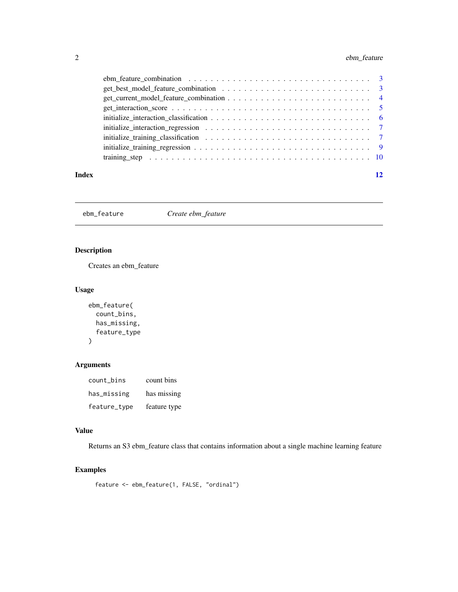#### <span id="page-1-0"></span>2 ebm\_feature

| Index |                                                                                                 | 12 |
|-------|-------------------------------------------------------------------------------------------------|----|
|       |                                                                                                 |    |
|       |                                                                                                 |    |
|       |                                                                                                 |    |
|       |                                                                                                 |    |
|       |                                                                                                 |    |
|       |                                                                                                 |    |
|       |                                                                                                 |    |
|       |                                                                                                 |    |
|       | ebm feature combination $\ldots \ldots \ldots \ldots \ldots \ldots \ldots \ldots \ldots \ldots$ |    |

ebm\_feature *Create ebm\_feature*

#### Description

Creates an ebm\_feature

#### Usage

```
ebm_feature(
  count_bins,
  has_missing,
  feature_type
\mathcal{L}
```
### Arguments

| count_bins   | count bins   |
|--------------|--------------|
| has_missing  | has missing  |
| feature_type | feature type |

#### Value

Returns an S3 ebm\_feature class that contains information about a single machine learning feature

#### Examples

```
feature <- ebm_feature(1, FALSE, "ordinal")
```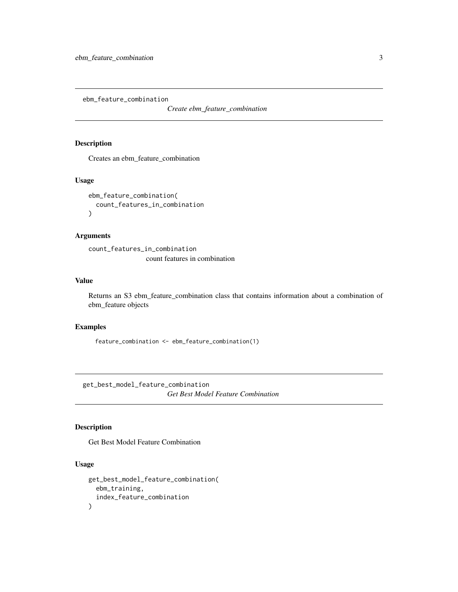<span id="page-2-0"></span>ebm\_feature\_combination

*Create ebm\_feature\_combination*

#### Description

Creates an ebm\_feature\_combination

#### Usage

```
ebm_feature_combination(
  count_features_in_combination
\mathcal{E}
```
#### Arguments

count\_features\_in\_combination count features in combination

#### Value

Returns an S3 ebm\_feature\_combination class that contains information about a combination of ebm\_feature objects

#### Examples

feature\_combination <- ebm\_feature\_combination(1)

get\_best\_model\_feature\_combination *Get Best Model Feature Combination*

#### Description

Get Best Model Feature Combination

#### Usage

```
get_best_model_feature_combination(
  ebm_training,
  index_feature_combination
\mathcal{E}
```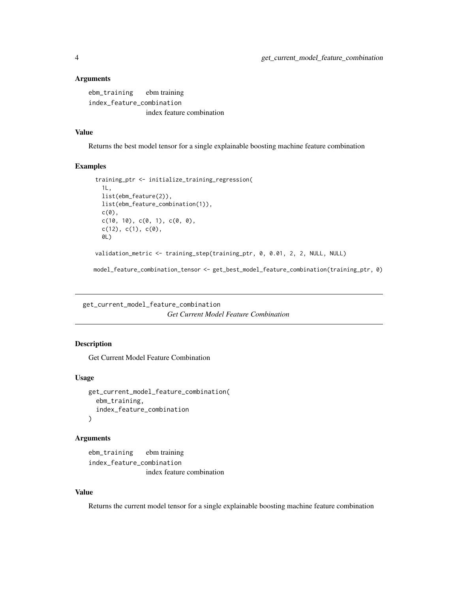#### <span id="page-3-0"></span>**Arguments**

ebm\_training ebm training index\_feature\_combination index feature combination

#### Value

Returns the best model tensor for a single explainable boosting machine feature combination

#### Examples

```
training_ptr <- initialize_training_regression(
  1L,
 list(ebm_feature(2)),
 list(ebm_feature_combination(1)),
 c(\emptyset),
 c(10, 10), c(0, 1), c(0, 0),c(12), c(1), c(0),0L)
validation_metric <- training_step(training_ptr, 0, 0.01, 2, 2, NULL, NULL)
```
model\_feature\_combination\_tensor <- get\_best\_model\_feature\_combination(training\_ptr, 0)

get\_current\_model\_feature\_combination *Get Current Model Feature Combination*

#### Description

Get Current Model Feature Combination

#### Usage

```
get_current_model_feature_combination(
  ebm_training,
  index_feature_combination
\lambda
```
#### Arguments

ebm\_training ebm training index\_feature\_combination index feature combination

#### Value

Returns the current model tensor for a single explainable boosting machine feature combination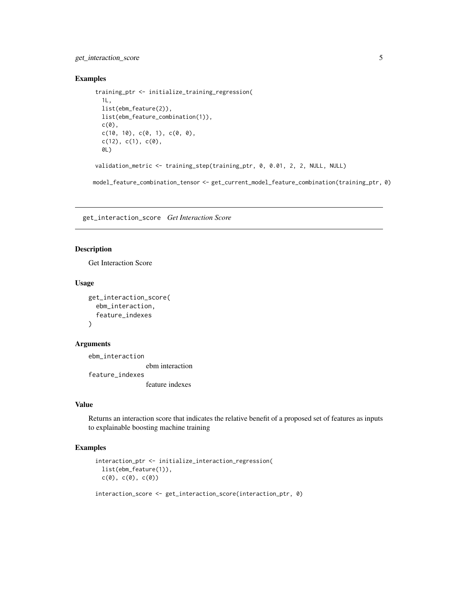#### <span id="page-4-0"></span>get\_interaction\_score 5

#### Examples

```
training_ptr <- initialize_training_regression(
 1L,
 list(ebm_feature(2)),
 list(ebm_feature_combination(1)),
 c(\theta),
 c(10, 10), c(0, 1), c(0, 0),c(12), c(1), c(0),0L)
validation_metric <- training_step(training_ptr, 0, 0.01, 2, 2, NULL, NULL)
```
model\_feature\_combination\_tensor <- get\_current\_model\_feature\_combination(training\_ptr, 0)

get\_interaction\_score *Get Interaction Score*

#### Description

Get Interaction Score

#### Usage

```
get_interaction_score(
  ebm_interaction,
  feature_indexes
\lambda
```
#### Arguments

ebm\_interaction ebm interaction feature\_indexes feature indexes

#### Value

Returns an interaction score that indicates the relative benefit of a proposed set of features as inputs to explainable boosting machine training

#### Examples

```
interaction_ptr <- initialize_interaction_regression(
  list(ebm_feature(1)),
  c(\emptyset), c(\emptyset), c(\emptyset))
```
interaction\_score <- get\_interaction\_score(interaction\_ptr, 0)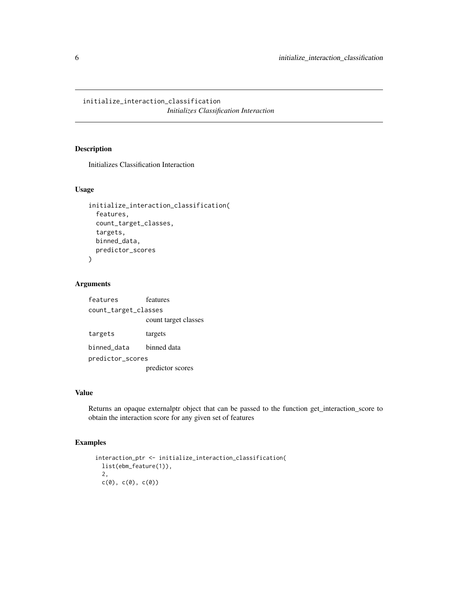<span id="page-5-0"></span>initialize\_interaction\_classification *Initializes Classification Interaction*

#### Description

Initializes Classification Interaction

#### Usage

```
initialize_interaction_classification(
  features,
  count_target_classes,
  targets,
  binned_data,
  predictor_scores
\mathcal{E}
```
#### Arguments

features features count\_target\_classes count target classes targets targets binned\_data binned data predictor\_scores predictor scores

#### Value

Returns an opaque externalptr object that can be passed to the function get\_interaction\_score to obtain the interaction score for any given set of features

#### Examples

```
interaction_ptr <- initialize_interaction_classification(
  list(ebm_feature(1)),
  2,
  c(\emptyset), c(\emptyset), c(\emptyset))
```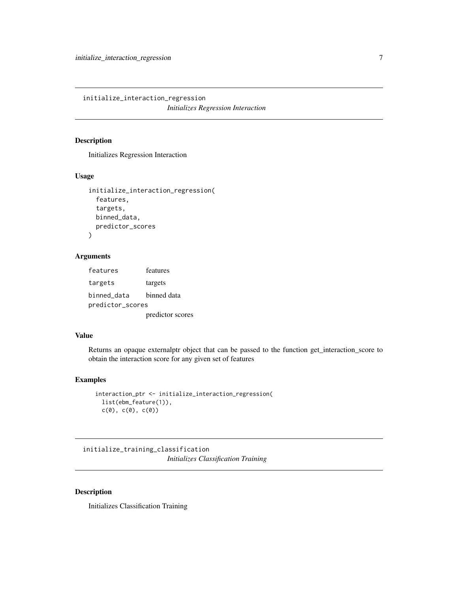<span id="page-6-0"></span>initialize\_interaction\_regression *Initializes Regression Interaction*

#### Description

Initializes Regression Interaction

#### Usage

```
initialize_interaction_regression(
  features,
  targets,
 binned_data,
 predictor_scores
)
```
#### Arguments

features features targets targets binned\_data binned data predictor\_scores predictor scores

#### Value

Returns an opaque externalptr object that can be passed to the function get\_interaction\_score to obtain the interaction score for any given set of features

#### Examples

```
interaction_ptr <- initialize_interaction_regression(
  list(ebm_feature(1)),
  c(\emptyset), c(\emptyset), c(\emptyset))
```
initialize\_training\_classification *Initializes Classification Training*

#### Description

Initializes Classification Training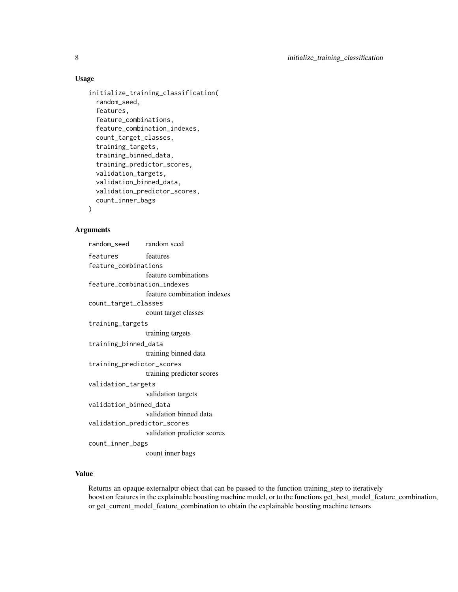#### Usage

```
initialize_training_classification(
  random_seed,
  features,
  feature_combinations,
  feature_combination_indexes,
  count_target_classes,
  training_targets,
  training_binned_data,
  training_predictor_scores,
  validation_targets,
  validation_binned_data,
 validation_predictor_scores,
  count_inner_bags
\mathcal{E}
```
#### Arguments

| random_seed                 | random seed                 |  |  |  |
|-----------------------------|-----------------------------|--|--|--|
| features                    | features                    |  |  |  |
| feature_combinations        |                             |  |  |  |
|                             | feature combinations        |  |  |  |
| feature_combination_indexes |                             |  |  |  |
|                             | feature combination indexes |  |  |  |
| count_target_classes        |                             |  |  |  |
|                             | count target classes        |  |  |  |
| training_targets            |                             |  |  |  |
|                             | training targets            |  |  |  |
| training_binned_data        |                             |  |  |  |
|                             | training binned data        |  |  |  |
| training_predictor_scores   |                             |  |  |  |
|                             | training predictor scores   |  |  |  |
| validation_targets          |                             |  |  |  |
|                             | validation targets          |  |  |  |
| validation_binned_data      |                             |  |  |  |
|                             | validation binned data      |  |  |  |
| validation_predictor_scores |                             |  |  |  |
|                             | validation predictor scores |  |  |  |
| count_inner_bags            |                             |  |  |  |
|                             | count inner bags            |  |  |  |

#### Value

Returns an opaque externalptr object that can be passed to the function training\_step to iteratively boost on features in the explainable boosting machine model, or to the functions get\_best\_model\_feature\_combination, or get\_current\_model\_feature\_combination to obtain the explainable boosting machine tensors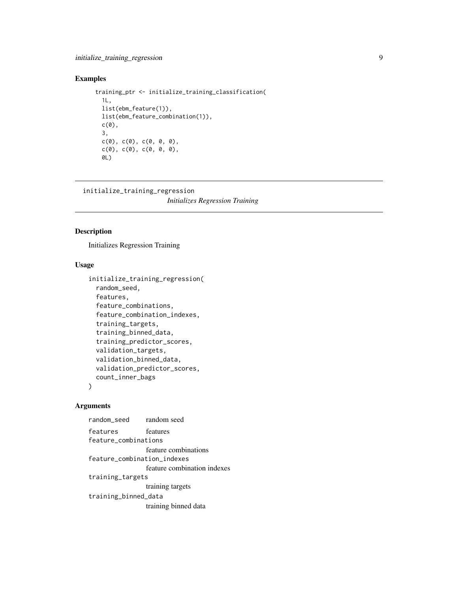#### <span id="page-8-0"></span>Examples

```
training_ptr <- initialize_training_classification(
   1L,
   list(ebm_feature(1)),
  list(ebm_feature_combination(1)),
  c(\emptyset),
   3,
   c(\emptyset), c(\emptyset), c(\emptyset, \emptyset, \emptyset),
   c(\emptyset), c(\emptyset), c(\emptyset, \emptyset, \emptyset),
   0L)
```
initialize\_training\_regression

*Initializes Regression Training*

#### Description

Initializes Regression Training

#### Usage

```
initialize_training_regression(
  random_seed,
  features,
  feature_combinations,
  feature_combination_indexes,
  training_targets,
  training_binned_data,
  training_predictor_scores,
  validation_targets,
  validation_binned_data,
  validation_predictor_scores,
  count_inner_bags
)
```
#### Arguments

```
random_seed random seed
features features
feature_combinations
                feature combinations
feature_combination_indexes
                feature combination indexes
training_targets
                training targets
training_binned_data
                training binned data
```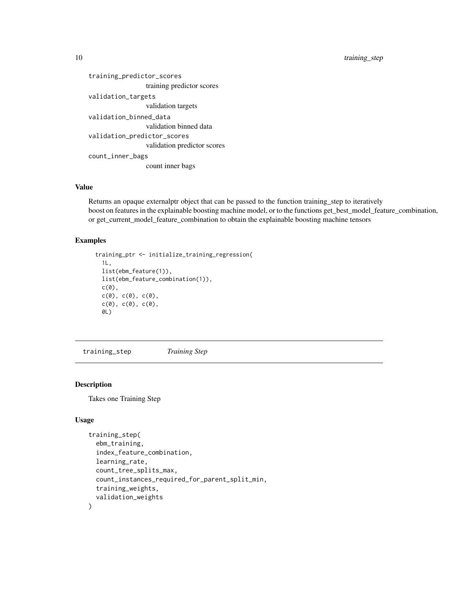<span id="page-9-0"></span>10 training\_step

```
training_predictor_scores
                 training predictor scores
validation_targets
                 validation targets
validation_binned_data
                 validation binned data
validation_predictor_scores
                 validation predictor scores
count_inner_bags
                 count inner bags
```
#### Value

Returns an opaque externalptr object that can be passed to the function training\_step to iteratively boost on features in the explainable boosting machine model, or to the functions get\_best\_model\_feature\_combination, or get\_current\_model\_feature\_combination to obtain the explainable boosting machine tensors

#### Examples

```
training_ptr <- initialize_training_regression(
  1L,
  list(ebm_feature(1)),
  list(ebm_feature_combination(1)),
  c(0),
  c(\emptyset), c(\emptyset), c(\emptyset),
  c(\emptyset), c(\emptyset), c(\emptyset),
  0L)
```
training\_step *Training Step*

#### Description

Takes one Training Step

#### Usage

```
training_step(
  ebm_training,
  index_feature_combination,
  learning_rate,
  count_tree_splits_max,
  count_instances_required_for_parent_split_min,
  training_weights,
  validation_weights
)
```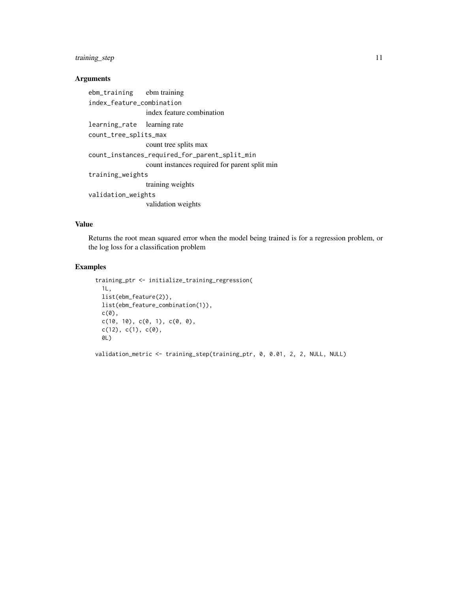#### training\_step 11

#### Arguments

ebm\_training ebm training index\_feature\_combination index feature combination learning\_rate learning rate count\_tree\_splits\_max count tree splits max count\_instances\_required\_for\_parent\_split\_min count instances required for parent split min training\_weights training weights validation\_weights validation weights

#### Value

Returns the root mean squared error when the model being trained is for a regression problem, or the log loss for a classification problem

#### Examples

```
training_ptr <- initialize_training_regression(
  1L,
 list(ebm_feature(2)),
 list(ebm_feature_combination(1)),
 c(\emptyset),
  c(10, 10), c(0, 1), c(0, 0),c(12), c(1), c(0),0L)
validation_metric <- training_step(training_ptr, 0, 0.01, 2, 2, NULL, NULL)
```